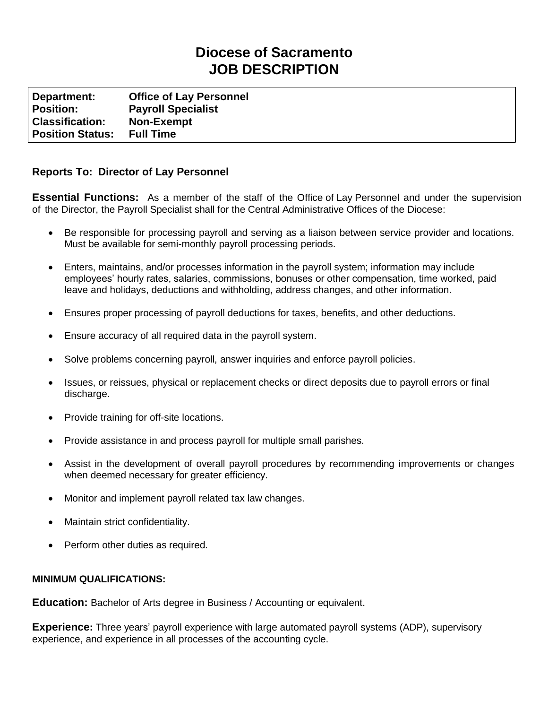## **Diocese of Sacramento JOB DESCRIPTION**

**Department: Office of Lay Personnel Position: Payroll Specialist Classification: Non-Exempt Position Status: Full Time**

## **Reports To: Director of Lay Personnel**

**Essential Functions:** As a member of the staff of the Office of Lay Personnel and under the supervision of the Director, the Payroll Specialist shall for the Central Administrative Offices of the Diocese:

- Be responsible for processing payroll and serving as a liaison between service provider and locations. Must be available for semi-monthly payroll processing periods.
- Enters, maintains, and/or processes information in the payroll system; information may include employees' hourly rates, salaries, commissions, bonuses or other compensation, time worked, paid leave and holidays, deductions and withholding, address changes, and other information.
- Ensures proper processing of payroll deductions for taxes, benefits, and other deductions.
- Ensure accuracy of all required data in the payroll system.
- Solve problems concerning payroll, answer inquiries and enforce payroll policies.
- Issues, or reissues, physical or replacement checks or direct deposits due to payroll errors or final discharge.
- Provide training for off-site locations.
- Provide assistance in and process payroll for multiple small parishes.
- Assist in the development of overall payroll procedures by recommending improvements or changes when deemed necessary for greater efficiency.
- Monitor and implement payroll related tax law changes.
- Maintain strict confidentiality.
- Perform other duties as required.

## **MINIMUM QUALIFICATIONS:**

**Education:** Bachelor of Arts degree in Business / Accounting or equivalent.

**Experience:** Three years' payroll experience with large automated payroll systems (ADP), supervisory experience, and experience in all processes of the accounting cycle.